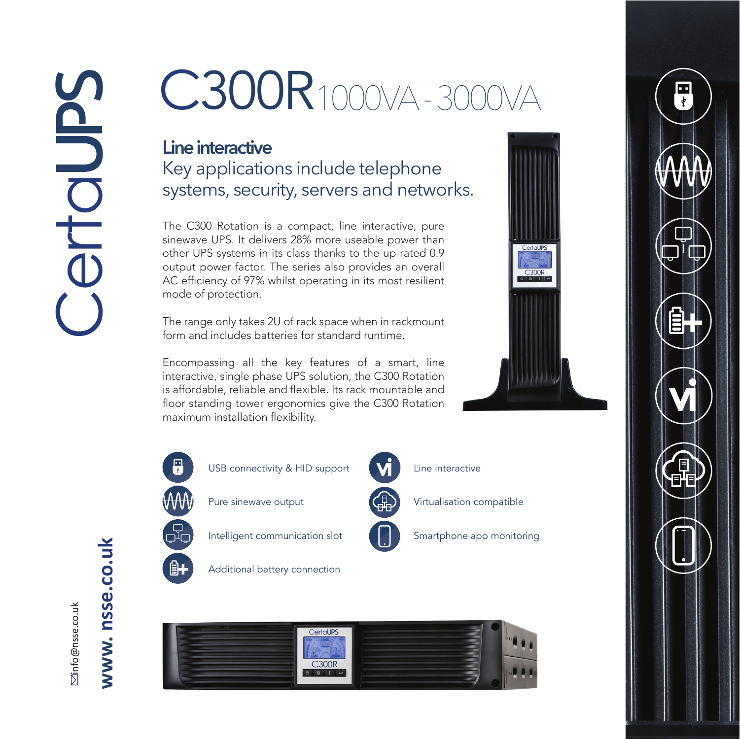## C300R1000VA - 3000VA

## **Line interactive**

Key applications include telephone systems, security, servers and networks.

The C300 Rotation is a compact, line interactive, pure sinewave UPS. It delivers 28% more useable power than other UPS systems in its class thanks to the up-rated 0.9 output power factor. The series also provides an overall AC efficiency of 97% whilst operating in its most resilient mode of protection.

The range only takes 2U of rack space when in rackmount form and includes batteries for standard runtime.

Encompassing all the key features of a smart, line interactive, single phase UPS solution, the C300 Rotation is affordable, reliable and flexible. Its rack mountable and floor standing tower ergonomics give the C300 Rotation maximum installation flexibility.



USB connectivity & HID support

Pure sinewave output

Intelligent communication slot

Additional battery connection



Line interactive

Virtualisation compatible

Smartphone app monitoring

**Partol IDS** 

**C300B** 





**⊠info@nsse.co.uk** info@nsse.co.uk www.nsse.co.uk **w. nsse.co.uk**